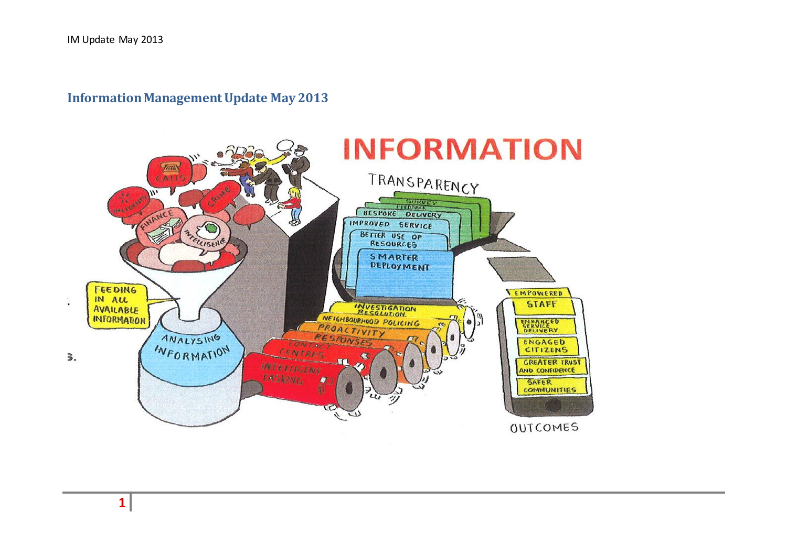## **Information Management Update May 2013**



**1**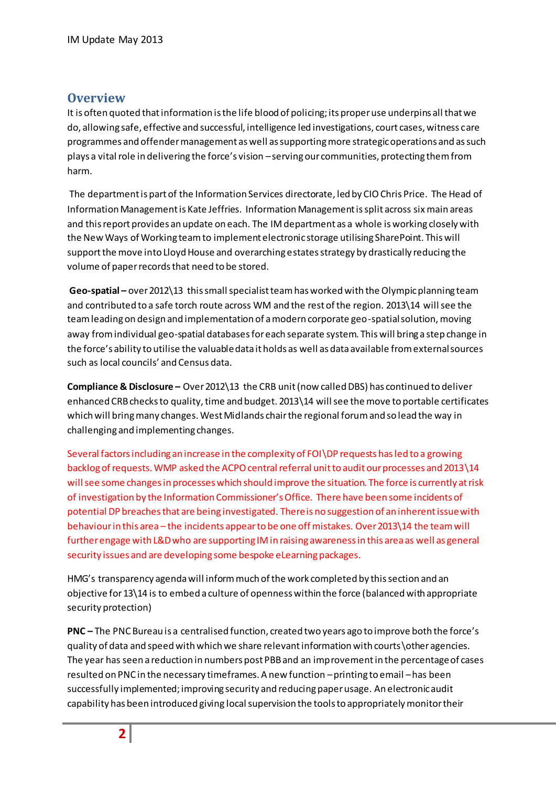## **Overview**

It is often quoted that information is the life blood of policing; its proper use underpins all that we do, allowing safe, effective and successful, intelligence led investigations, court cases, witness care programmes and offender management as well as supporting more strategic operations and as such plays a vital role in delivering the force's vision –serving our communities, protecting them from harm.

The department is part of the Information Services directorate, led by CIO Chris Price. The Head of Information Management is Kate Jeffries. Information Management is split across six main areas and this report provides an update on each. The IM department as a whole is working closely with the New Ways of Working team to implement electronic storage utilising SharePoint. This will support the move into Lloyd House and overarching estates strategy by drastically reducing the volume of paper records that need to be stored.

**Geo-spatial –** over 2012\13 this small specialist team has worked with the Olympic planning team and contributed to a safe torch route across WM and the rest of the region. 2013\14 will see the team leading on design and implementation of a modern corporate geo-spatial solution, moving away from individual geo-spatial databases for each separate system. This will bring a step change in the force's ability to utilise the valuable data it holds as well as data available from external sources such as local councils' and Census data.

**Compliance & Disclosure –** Over 2012\13 the CRB unit (now called DBS) has continued to deliver enhanced CRB checks to quality, time and budget. 2013\14 will see the move to portable certificates which will bring many changes. West Midlands chair the regional forum and so lead the way in challenging and implementing changes.

Several factors including an increase in the complexity of FOI\DP requests has led to a growing backlog of requests. WMP asked the ACPO central referral unit to audit our processes and 2013\14 will see some changes in processes which should improve the situation. The force is currently at risk of investigation by the Information Commissioner's Office. There have been some incidents of potential DP breaches that are being investigated. There is no suggestion of an inherent issue with behaviour in this area – the incidents appear to be one off mistakes. Over 2013\14 the team will further engage with L&D who are supporting IM in raising awareness in this area as well as general security issues and are developing some bespoke eLearning packages.

HMG's transparency agenda will inform much of the work completed by this section and an objective for 13\14 is to embed a culture of openness within the force (balanced with appropriate security protection)

**PNC –** The PNC Bureau is a centralised function, created two years ago to improve both the force's quality of data and speed with which we share relevant information with courts\other agencies. The year has seen a reduction in numbers post PBB and an improvement in the percentage of cases resulted on PNC in the necessary timeframes. A new function –printing to email –has been successfully implemented; improving security and reducing paper usage. An electronic audit capability has been introduced giving local supervision the tools to appropriately monitor their